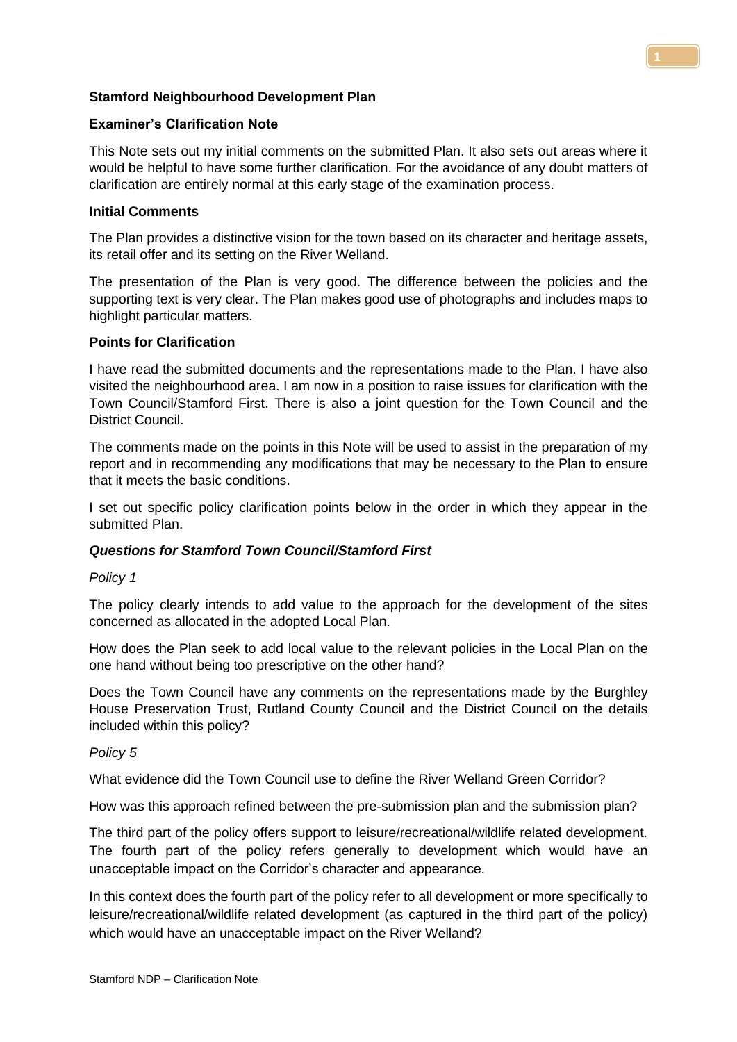## **Stamford Neighbourhood Development Plan**

### **Examiner's Clarification Note**

This Note sets out my initial comments on the submitted Plan. It also sets out areas where it would be helpful to have some further clarification. For the avoidance of any doubt matters of clarification are entirely normal at this early stage of the examination process.

# **Initial Comments**

The Plan provides a distinctive vision for the town based on its character and heritage assets, its retail offer and its setting on the River Welland.

The presentation of the Plan is very good. The difference between the policies and the supporting text is very clear. The Plan makes good use of photographs and includes maps to highlight particular matters.

### **Points for Clarification**

I have read the submitted documents and the representations made to the Plan. I have also visited the neighbourhood area. I am now in a position to raise issues for clarification with the Town Council/Stamford First. There is also a joint question for the Town Council and the District Council.

The comments made on the points in this Note will be used to assist in the preparation of my report and in recommending any modifications that may be necessary to the Plan to ensure that it meets the basic conditions.

I set out specific policy clarification points below in the order in which they appear in the submitted Plan.

# *Questions for Stamford Town Council/Stamford First*

#### *Policy 1*

The policy clearly intends to add value to the approach for the development of the sites concerned as allocated in the adopted Local Plan.

How does the Plan seek to add local value to the relevant policies in the Local Plan on the one hand without being too prescriptive on the other hand?

Does the Town Council have any comments on the representations made by the Burghley House Preservation Trust, Rutland County Council and the District Council on the details included within this policy?

#### *Policy 5*

What evidence did the Town Council use to define the River Welland Green Corridor?

How was this approach refined between the pre-submission plan and the submission plan?

The third part of the policy offers support to leisure/recreational/wildlife related development. The fourth part of the policy refers generally to development which would have an unacceptable impact on the Corridor's character and appearance.

In this context does the fourth part of the policy refer to all development or more specifically to leisure/recreational/wildlife related development (as captured in the third part of the policy) which would have an unacceptable impact on the River Welland?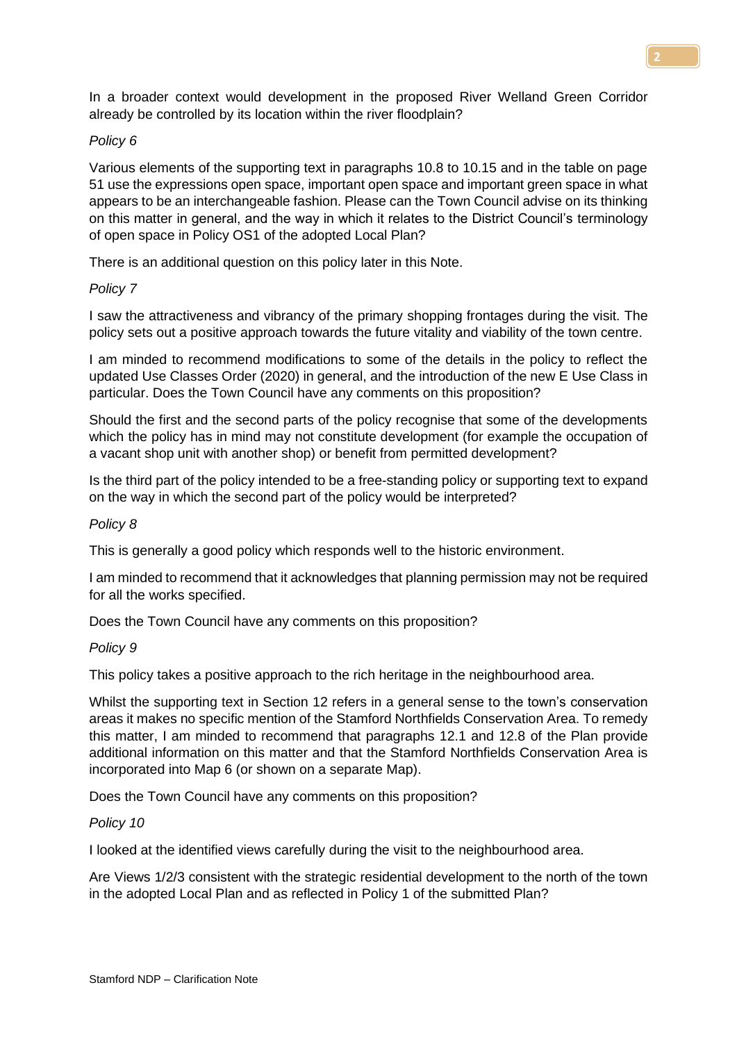In a broader context would development in the proposed River Welland Green Corridor already be controlled by its location within the river floodplain?

### *Policy 6*

Various elements of the supporting text in paragraphs 10.8 to 10.15 and in the table on page 51 use the expressions open space, important open space and important green space in what appears to be an interchangeable fashion. Please can the Town Council advise on its thinking on this matter in general, and the way in which it relates to the District Council's terminology of open space in Policy OS1 of the adopted Local Plan?

There is an additional question on this policy later in this Note.

### *Policy 7*

I saw the attractiveness and vibrancy of the primary shopping frontages during the visit. The policy sets out a positive approach towards the future vitality and viability of the town centre.

I am minded to recommend modifications to some of the details in the policy to reflect the updated Use Classes Order (2020) in general, and the introduction of the new E Use Class in particular. Does the Town Council have any comments on this proposition?

Should the first and the second parts of the policy recognise that some of the developments which the policy has in mind may not constitute development (for example the occupation of a vacant shop unit with another shop) or benefit from permitted development?

Is the third part of the policy intended to be a free-standing policy or supporting text to expand on the way in which the second part of the policy would be interpreted?

#### *Policy 8*

This is generally a good policy which responds well to the historic environment.

I am minded to recommend that it acknowledges that planning permission may not be required for all the works specified.

Does the Town Council have any comments on this proposition?

#### *Policy 9*

This policy takes a positive approach to the rich heritage in the neighbourhood area.

Whilst the supporting text in Section 12 refers in a general sense to the town's conservation areas it makes no specific mention of the Stamford Northfields Conservation Area. To remedy this matter, I am minded to recommend that paragraphs 12.1 and 12.8 of the Plan provide additional information on this matter and that the Stamford Northfields Conservation Area is incorporated into Map 6 (or shown on a separate Map).

Does the Town Council have any comments on this proposition?

#### *Policy 10*

I looked at the identified views carefully during the visit to the neighbourhood area.

Are Views 1/2/3 consistent with the strategic residential development to the north of the town in the adopted Local Plan and as reflected in Policy 1 of the submitted Plan?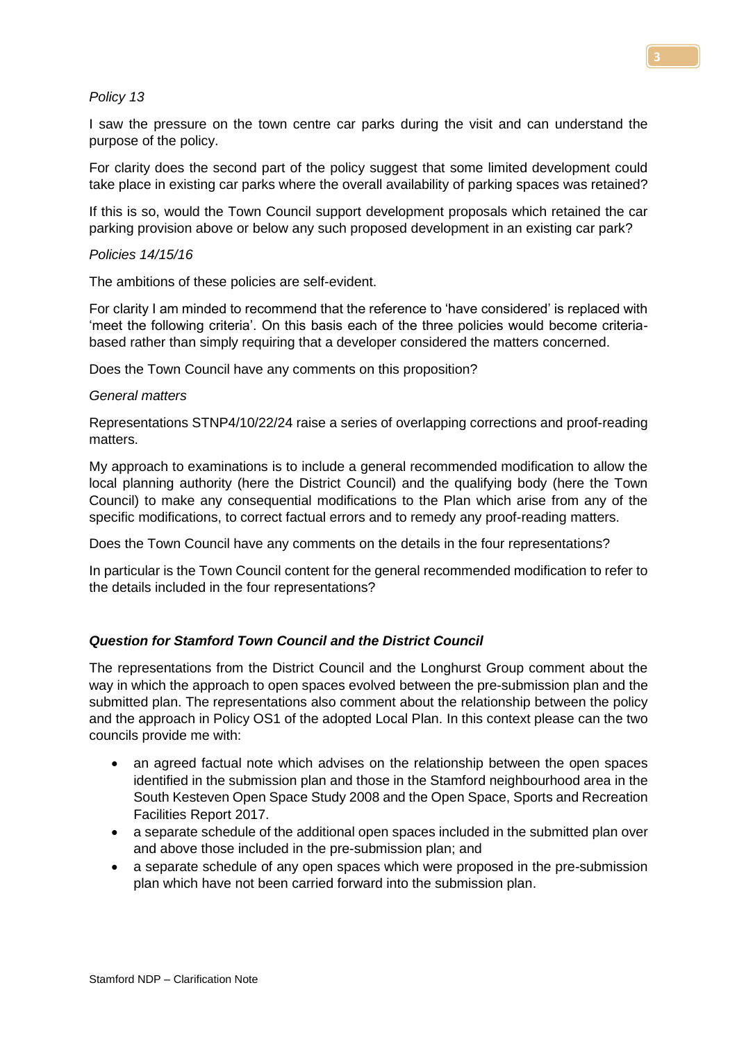### *Policy 13*

I saw the pressure on the town centre car parks during the visit and can understand the purpose of the policy.

For clarity does the second part of the policy suggest that some limited development could take place in existing car parks where the overall availability of parking spaces was retained?

If this is so, would the Town Council support development proposals which retained the car parking provision above or below any such proposed development in an existing car park?

### *Policies 14/15/16*

The ambitions of these policies are self-evident.

For clarity I am minded to recommend that the reference to 'have considered' is replaced with 'meet the following criteria'. On this basis each of the three policies would become criteriabased rather than simply requiring that a developer considered the matters concerned.

Does the Town Council have any comments on this proposition?

#### *General matters*

Representations STNP4/10/22/24 raise a series of overlapping corrections and proof-reading matters.

My approach to examinations is to include a general recommended modification to allow the local planning authority (here the District Council) and the qualifying body (here the Town Council) to make any consequential modifications to the Plan which arise from any of the specific modifications, to correct factual errors and to remedy any proof-reading matters.

Does the Town Council have any comments on the details in the four representations?

In particular is the Town Council content for the general recommended modification to refer to the details included in the four representations?

# *Question for Stamford Town Council and the District Council*

The representations from the District Council and the Longhurst Group comment about the way in which the approach to open spaces evolved between the pre-submission plan and the submitted plan. The representations also comment about the relationship between the policy and the approach in Policy OS1 of the adopted Local Plan. In this context please can the two councils provide me with:

- an agreed factual note which advises on the relationship between the open spaces identified in the submission plan and those in the Stamford neighbourhood area in the South Kesteven Open Space Study 2008 and the Open Space, Sports and Recreation Facilities Report 2017.
- a separate schedule of the additional open spaces included in the submitted plan over and above those included in the pre-submission plan; and
- a separate schedule of any open spaces which were proposed in the pre-submission plan which have not been carried forward into the submission plan.